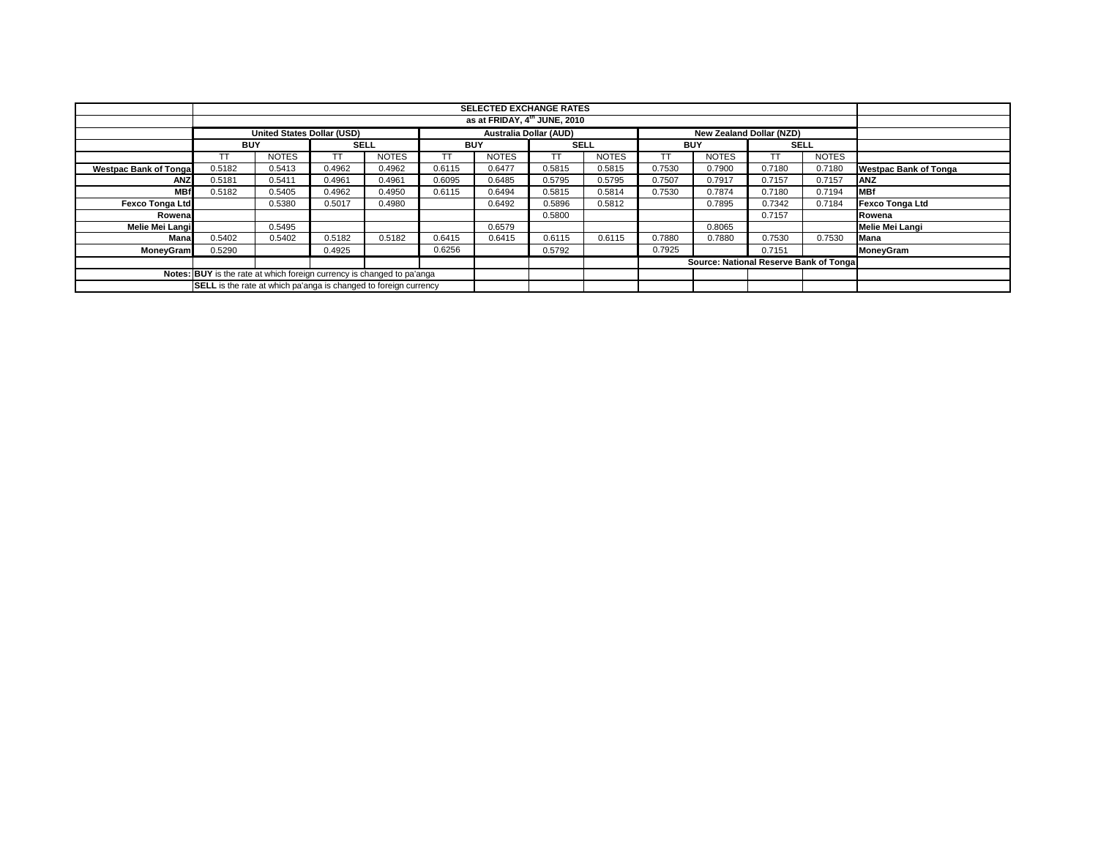|                                                                         | <b>SELECTED EXCHANGE RATES</b> |                                   |             |              |            |                                          |                               |              |            |                                        |             |              |                              |
|-------------------------------------------------------------------------|--------------------------------|-----------------------------------|-------------|--------------|------------|------------------------------------------|-------------------------------|--------------|------------|----------------------------------------|-------------|--------------|------------------------------|
|                                                                         |                                |                                   |             |              |            | as at FRIDAY, 4 <sup>th</sup> JUNE, 2010 |                               |              |            |                                        |             |              |                              |
|                                                                         |                                |                                   |             |              |            |                                          |                               |              |            |                                        |             |              |                              |
|                                                                         |                                | <b>United States Dollar (USD)</b> |             |              |            |                                          | <b>Australia Dollar (AUD)</b> |              |            | <b>New Zealand Dollar (NZD)</b>        |             |              |                              |
|                                                                         | <b>BUY</b>                     |                                   | <b>SELL</b> |              | <b>BUY</b> |                                          | <b>SELL</b>                   |              | <b>BUY</b> |                                        | <b>SELL</b> |              |                              |
|                                                                         | TΤ                             | <b>NOTES</b>                      |             | <b>NOTES</b> | <b>TT</b>  | <b>NOTES</b>                             | <b>TT</b>                     | <b>NOTES</b> |            | <b>NOTES</b>                           | TT          | <b>NOTES</b> |                              |
| <b>Westpac Bank of Tonga</b>                                            | 0.5182                         | 0.5413                            | 0.4962      | 0.4962       | 0.6115     | 0.6477                                   | 0.5815                        | 0.5815       | 0.7530     | 0.7900                                 | 0.7180      | 0.7180       | <b>Westpac Bank of Tonga</b> |
| <b>ANZ</b>                                                              | 0.5181                         | 0.5411                            | 0.4961      | 0.4961       | 0.6095     | 0.6485                                   | 0.5795                        | 0.5795       | 0.7507     | 0.7917                                 | 0.7157      | 0.7157       | <b>ANZ</b>                   |
| <b>MBf</b>                                                              | 0.5182                         | 0.5405                            | 0.4962      | 0.4950       | 0.6115     | 0.6494                                   | 0.5815                        | 0.5814       | 0.7530     | 0.7874                                 | 0.7180      | 0.7194       | <b>MBf</b>                   |
| <b>Fexco Tonga Ltd</b>                                                  |                                | 0.5380                            | 0.5017      | 0.4980       |            | 0.6492                                   | 0.5896                        | 0.5812       |            | 0.7895                                 | 0.7342      | 0.7184       | <b>Fexco Tonga Ltd</b>       |
| Rowena                                                                  |                                |                                   |             |              | 0.5800     |                                          |                               |              | 0.7157     |                                        | Rowena      |              |                              |
| Melie Mei Langi                                                         |                                | 0.5495                            |             |              |            | 0.6579                                   |                               |              |            | 0.8065                                 |             |              | <b>Melie Mei Langi</b>       |
| Manal                                                                   | 0.5402                         | 0.5402                            | 0.5182      | 0.5182       | 0.6415     | 0.6415                                   | 0.6115                        | 0.6115       | 0.7880     | 0.7880                                 | 0.7530      | 0.7530       | Mana                         |
| <b>MoneyGram</b>                                                        | 0.5290                         |                                   | 0.4925      |              | 0.6256     |                                          | 0.5792                        |              | 0.7925     |                                        | 0.7151      |              | <b>MoneyGram</b>             |
|                                                                         |                                |                                   |             |              |            |                                          |                               |              |            | Source: National Reserve Bank of Tonga |             |              |                              |
| Notes: BUY is the rate at which foreign currency is changed to pa'anga  |                                |                                   |             |              |            |                                          |                               |              |            |                                        |             |              |                              |
| <b>SELL</b> is the rate at which pa'anga is changed to foreign currency |                                |                                   |             |              |            |                                          |                               |              |            |                                        |             |              |                              |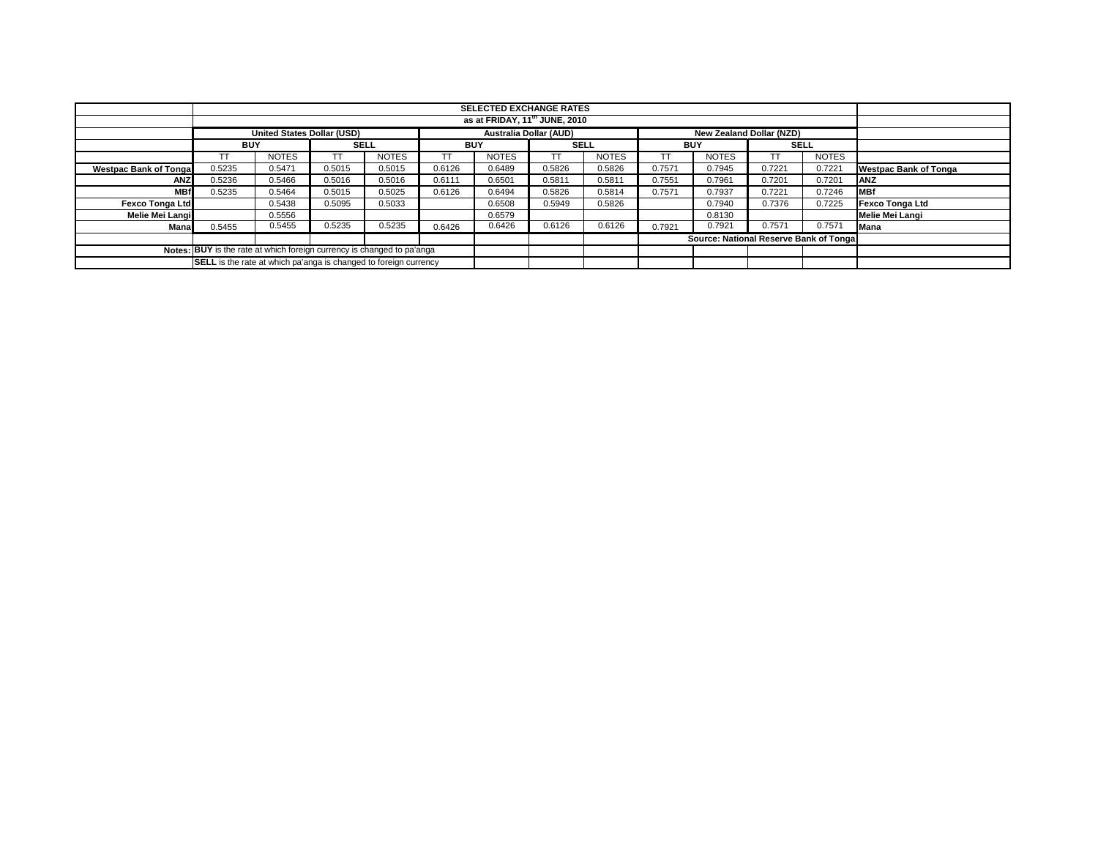|                                                                               |                                                                                                       |              |        |              |            | <b>SELECTED EXCHANGE RATES</b><br>as at FRIDAY, 11 <sup>th</sup> JUNE, 2010 |             |              |            |                                         |             |              |                              |
|-------------------------------------------------------------------------------|-------------------------------------------------------------------------------------------------------|--------------|--------|--------------|------------|-----------------------------------------------------------------------------|-------------|--------------|------------|-----------------------------------------|-------------|--------------|------------------------------|
|                                                                               |                                                                                                       |              |        |              |            |                                                                             |             |              |            |                                         |             |              |                              |
|                                                                               | <b>United States Dollar (USD)</b><br><b>Australia Dollar (AUD)</b><br><b>New Zealand Dollar (NZD)</b> |              |        |              |            |                                                                             |             |              |            |                                         |             |              |                              |
|                                                                               | <b>BUY</b>                                                                                            |              |        | <b>SELL</b>  | <b>BUY</b> |                                                                             | <b>SELL</b> |              | <b>BUY</b> |                                         | <b>SELL</b> |              |                              |
|                                                                               |                                                                                                       | <b>NOTES</b> | TT     | <b>NOTES</b> |            | <b>NOTES</b>                                                                |             | <b>NOTES</b> |            | <b>NOTES</b>                            |             | <b>NOTES</b> |                              |
| <b>Westpac Bank of Tongal</b>                                                 | 0.5235                                                                                                | 0.5471       | 0.5015 | 0.5015       | 0.6126     | 0.6489                                                                      | 0.5826      | 0.5826       | 0.7571     | 0.7945                                  | 0.7221      | 0.7221       | <b>Westpac Bank of Tonga</b> |
| <b>ANZ</b>                                                                    | 0.5236                                                                                                | 0.5466       | 0.5016 | 0.5016       | 0.6111     | 0.6501                                                                      | 0.5811      | 0.5811       | 0.7551     | 0.7961                                  | 0.7201      | 0.7201       | <b>IANZ</b>                  |
| <b>MBf</b>                                                                    | 0.5235                                                                                                | 0.5464       | 0.5015 | 0.5025       | 0.6126     | 0.6494                                                                      | 0.5826      | 0.5814       | 0.7571     | 0.7937                                  | 0.7221      | 0.7246       | <b>IMBf</b>                  |
| <b>Fexco Tonga Ltd</b>                                                        |                                                                                                       | 0.5438       | 0.5095 | 0.5033       |            | 0.6508                                                                      | 0.5949      | 0.5826       |            | 0.7940                                  | 0.7376      | 0.7225       | <b>Fexco Tonga Ltd</b>       |
| <b>Melie Mei Langi</b>                                                        |                                                                                                       | 0.5556       |        |              |            | 0.6579                                                                      |             |              |            | 0.8130                                  |             |              | Melie Mei Langi              |
| Mana                                                                          | 0.5455                                                                                                | 0.5455       | 0.5235 | 0.5235       | 0.6426     | 0.6426                                                                      | 0.6126      | 0.6126       | 0.7921     | 0.7921                                  | 0.7571      | 0.7571       | <b>Mana</b>                  |
|                                                                               |                                                                                                       |              |        |              |            |                                                                             |             |              |            | Source: National Reserve Bank of Tongal |             |              |                              |
| <b>Notes: BUY</b> is the rate at which foreign currency is changed to pa'anga |                                                                                                       |              |        |              |            |                                                                             |             |              |            |                                         |             |              |                              |
|                                                                               | <b>SELL</b> is the rate at which pa'anga is changed to foreign currency                               |              |        |              |            |                                                                             |             |              |            |                                         |             |              |                              |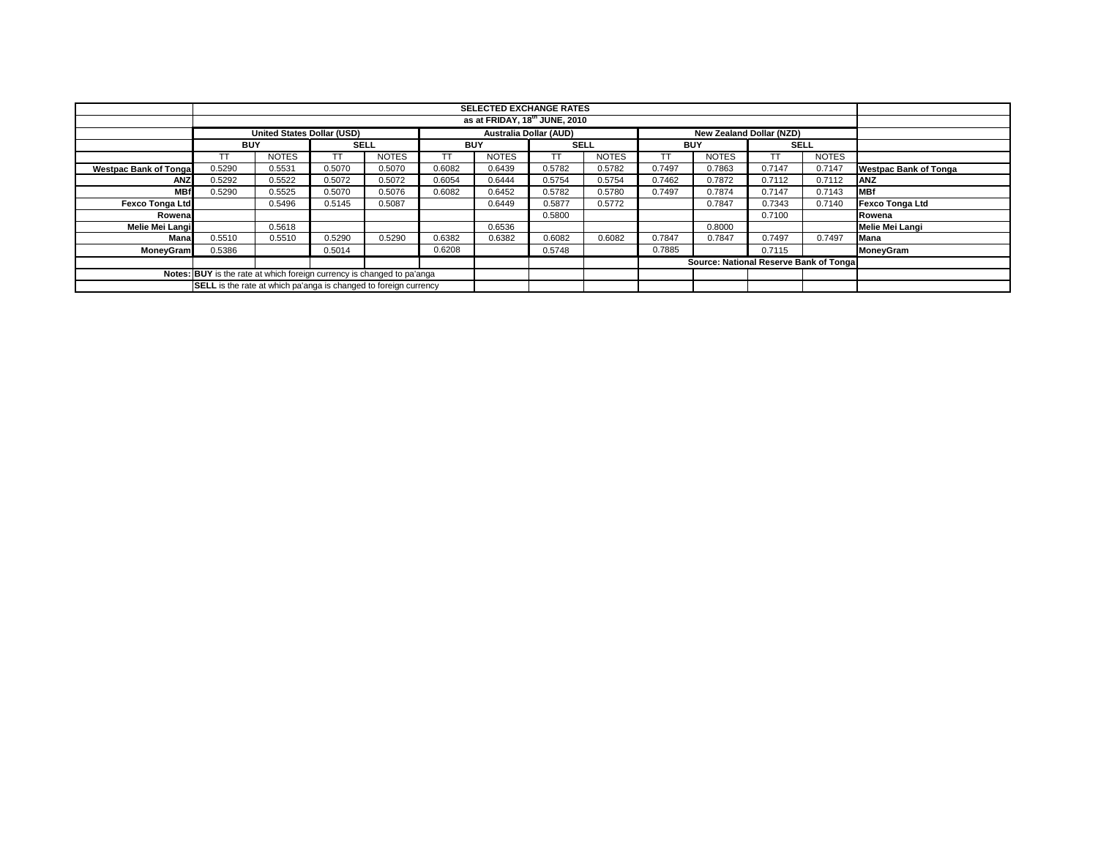|                                                                         | <b>SELECTED EXCHANGE RATES</b>            |                                   |             |              |           |              |                               |              |        |                                        |        |              |                              |
|-------------------------------------------------------------------------|-------------------------------------------|-----------------------------------|-------------|--------------|-----------|--------------|-------------------------------|--------------|--------|----------------------------------------|--------|--------------|------------------------------|
|                                                                         |                                           |                                   |             |              |           |              |                               |              |        |                                        |        |              |                              |
|                                                                         | as at FRIDAY, 18 <sup>th</sup> JUNE, 2010 |                                   |             |              |           |              |                               |              |        |                                        |        |              |                              |
|                                                                         |                                           | <b>United States Dollar (USD)</b> |             |              |           |              | <b>Australia Dollar (AUD)</b> |              |        | <b>New Zealand Dollar (NZD)</b>        |        |              |                              |
|                                                                         | <b>BUY</b>                                |                                   | <b>SELL</b> |              |           | <b>BUY</b>   |                               | <b>SELL</b>  |        | <b>BUY</b>                             |        | <b>SELL</b>  |                              |
|                                                                         | TΤ                                        | <b>NOTES</b>                      |             | <b>NOTES</b> | <b>TT</b> | <b>NOTES</b> | <b>TT</b>                     | <b>NOTES</b> |        | <b>NOTES</b>                           | TT     | <b>NOTES</b> |                              |
| <b>Westpac Bank of Tonga</b>                                            | 0.5290                                    | 0.5531                            | 0.5070      | 0.5070       | 0.6082    | 0.6439       | 0.5782                        | 0.5782       | 0.7497 | 0.7863                                 | 0.7147 | 0.7147       | <b>Westpac Bank of Tonga</b> |
| <b>ANZ</b>                                                              | 0.5292                                    | 0.5522                            | 0.5072      | 0.5072       | 0.6054    | 0.6444       | 0.5754                        | 0.5754       | 0.7462 | 0.7872                                 | 0.7112 | 0.7112       | <b>ANZ</b>                   |
| <b>MBf</b>                                                              | 0.5290                                    | 0.5525                            | 0.5070      | 0.5076       | 0.6082    | 0.6452       | 0.5782                        | 0.5780       | 0.7497 | 0.7874                                 | 0.7147 | 0.7143       | <b>MBf</b>                   |
| Fexco Tonga Ltd                                                         |                                           | 0.5496                            | 0.5145      | 0.5087       |           | 0.6449       | 0.5877                        | 0.5772       |        | 0.7847                                 | 0.7343 | 0.7140       | <b>Fexco Tonga Ltd</b>       |
| Rowena                                                                  |                                           |                                   |             |              |           |              | 0.5800                        |              |        |                                        | 0.7100 |              | Rowena                       |
| Melie Mei Langi                                                         |                                           | 0.5618                            |             |              |           | 0.6536       |                               |              |        | 0.8000                                 |        |              | <b>Melie Mei Langi</b>       |
| Manal                                                                   | 0.5510                                    | 0.5510                            | 0.5290      | 0.5290       | 0.6382    | 0.6382       | 0.6082                        | 0.6082       | 0.7847 | 0.7847                                 | 0.7497 | 0.7497       | Mana                         |
| <b>MoneyGram</b>                                                        | 0.5386                                    |                                   | 0.5014      |              | 0.6208    |              | 0.5748                        |              | 0.7885 |                                        | 0.7115 |              | <b>MoneyGram</b>             |
|                                                                         |                                           |                                   |             |              |           |              |                               |              |        | Source: National Reserve Bank of Tonga |        |              |                              |
| Notes: BUY is the rate at which foreign currency is changed to pa'anga  |                                           |                                   |             |              |           |              |                               |              |        |                                        |        |              |                              |
| <b>SELL</b> is the rate at which pa'anga is changed to foreign currency |                                           |                                   |             |              |           |              |                               |              |        |                                        |        |              |                              |